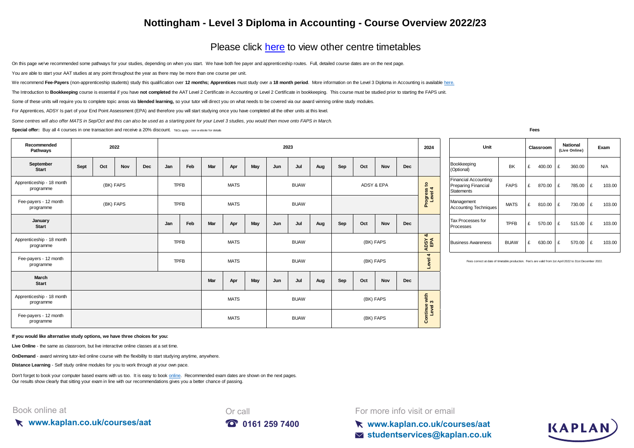## **Nottingham - Level 3 Diploma in Accounting - Course Overview 2022/23**

## [Please click here](https://kaplan.co.uk/courses/timetables/aat) to view other centre timetables

On this page we've recommended some pathways for your studies, depending on when you start. We have both fee payer and apprenticeship routes. Full, detailed course dates are on the next page.

You are able to start your AAT studies at any point throughout the year as there may be more than one course per unit.

[We recommend](https://kaplan.co.uk/courses/aat) Fee-Pavers [\(non-apprenticeship students\) study this qualification over](https://kaplan.co.uk/courses/aat) 12 months: Apprentices must study over a 18 month period[. More information on the Level 3 Diploma in Accounting is available h](https://kaplan.co.uk/courses/aat)ere.

The Introduction to Bookkeeping course is essential if you have not completed the AAT Level 2 Certificate in Accounting or Level 2 Certificate in bookkeeping. This course must be studied prior to starting the FAPS unit.

Some of these units will require you to complete topic areas via blended learning, so your tutor will direct you on what needs to be covered via our award winning online study modules.

For Apprentices, ADSY Is part of your End Point Assessment (EPA) and therefore you will start studying once you have completed all the other units at this level.

*Some centres will also offer MATS in Sep/Oct and this can also be used as a starting point for your Level 3 studies, you would then move onto FAPS in March.*

**Special offer:** Buy all 4 courses in one transaction and receive a 20% discount. T&Cs apply - see w ebsite for details **Fees** 

| Recommended<br>Pathways                |      |     | 2022       |            |             |     |     |             |     |     | 2023        |     |     |     |            |            | 2024                                    | Unit                                                                                      | Classroom   |   |        | National<br>(Live Online |      |
|----------------------------------------|------|-----|------------|------------|-------------|-----|-----|-------------|-----|-----|-------------|-----|-----|-----|------------|------------|-----------------------------------------|-------------------------------------------------------------------------------------------|-------------|---|--------|--------------------------|------|
| September<br>Start                     | Sept | Oct | <b>Nov</b> | <b>Dec</b> | Jan         | Feb | Mar | Apr         | May | Jun | Jul         | Aug | Sep | Oct | Nov        | <b>Dec</b> |                                         | Bookkeeping<br>(Optional)                                                                 | BK          | £ | 400.00 | £                        | 360. |
| Apprenticeship - 18 month<br>programme |      |     | (BK) FAPS  |            | <b>TPFB</b> |     |     | <b>MATS</b> |     |     | <b>BUAW</b> |     |     |     | ADSY & EPA |            | $\mathbf{e}$<br>0 <sub>4</sub>          | Financial Accounting:<br>Preparing Financial<br>Statements                                | <b>FAPS</b> | £ | 870.00 | £                        | 785. |
| Fee-payers - 12 month<br>programme     |      |     | (BK) FAPS  |            | <b>TPFB</b> |     |     | <b>MATS</b> |     |     | <b>BUAW</b> |     |     |     |            |            | Progress<br>Level                       | Management<br><b>Accounting Techniques</b>                                                | <b>MATS</b> | £ | 810.00 | £                        | 730. |
| January<br><b>Start</b>                |      |     |            |            | Jan         | Feb | Mar | Apr         | May | Jun | Jul         | Aug | Sep | Oct | Nov        | <b>Dec</b> |                                         | Tax Processes for<br>Processes                                                            | <b>TPFB</b> | £ | 570.00 | £                        | 515. |
| Apprenticeship - 18 month<br>programme |      |     |            |            | <b>TPFB</b> |     |     | <b>MATS</b> |     |     | <b>BUAW</b> |     |     |     | (BK) FAPS  |            | ಹ<br><b>AGI</b><br>$\blacktriangleleft$ | <b>Business Awareness</b>                                                                 | <b>BUAW</b> | £ | 630.00 | £                        | 570. |
| Fee-payers - 12 month<br>programme     |      |     |            |            | <b>TPFB</b> |     |     | <b>MATS</b> |     |     | <b>BUAW</b> |     |     |     | (BK) FAPS  |            | $\blacktriangleleft$<br>evel            | Fees correct at date of timetable production. Fee's are valid from 1st April 2022 to 31st |             |   |        |                          |      |
| March<br><b>Start</b>                  |      |     |            |            |             |     | Mar | Apr         | May | Jun | Jul         | Aug | Sep | Oct | Nov        | Dec        |                                         |                                                                                           |             |   |        |                          |      |
| Apprenticeship - 18 month<br>programme |      |     |            |            |             |     |     | <b>MATS</b> |     |     | <b>BUAW</b> |     |     |     | (BK) FAPS  |            | with $3$                                |                                                                                           |             |   |        |                          |      |
| Fee-payers - 12 month<br>programme     |      |     |            |            |             |     |     | <b>MATS</b> |     |     | <b>BUAW</b> |     |     |     | (BK) FAPS  |            | Continue<br>Level 3                     |                                                                                           |             |   |        |                          |      |

| Unit                                                                     |             |   | Classroom |   | <b>National</b><br>(Live Online) | Exam |            |  |
|--------------------------------------------------------------------------|-------------|---|-----------|---|----------------------------------|------|------------|--|
| Bookkeeping<br>(Optional)                                                | BK          | £ | 400.00    | £ | 360.00                           |      | <b>N/A</b> |  |
| Financial Accounting:<br><b>Preparing Financial</b><br><b>Statements</b> | <b>FAPS</b> | £ | 870.00    | £ | 785.00                           | £    | 103.00     |  |
| Management<br><b>Accounting Techniques</b>                               | <b>MATS</b> | £ | 810.00    | £ | 730.00                           | £    | 103.00     |  |
| Tax Processes for<br>Processes                                           | <b>TPFB</b> | £ | 570.00    | £ | 515.00                           | £    | 103.00     |  |
| <b>Business Awareness</b>                                                | <b>BUAW</b> | £ | 630.00    | £ | 570.00                           | £    | 103.00     |  |

Fees correct at date of timetable production. Fee's are valid from 1st April 2022 to 31st December 2022

**If you would like alternative study options, we have three choices for you:**

**Live Online** - the same as classroom, but live interactive online classes at a set time.

**OnDemand** - award winning tutor-led online course with the flexibility to start studying anytime, anywhere.

**Distance Learning** - Self study online modules for you to work through at your own pace.

[Don't forget to book your computer based exams with us too. It is easy to book online.](https://kaplan.co.uk/exams) Recommended exam dates are shown on the next pages. [Our results show clearly that s](https://kaplan.co.uk/exams)itting your exam in line with our recommendations gives you a better chance of passing.

## Book online at





For more info visit or email

**www.kaplan.co.uk/courses/aat studentservices@kaplan.co.uk**